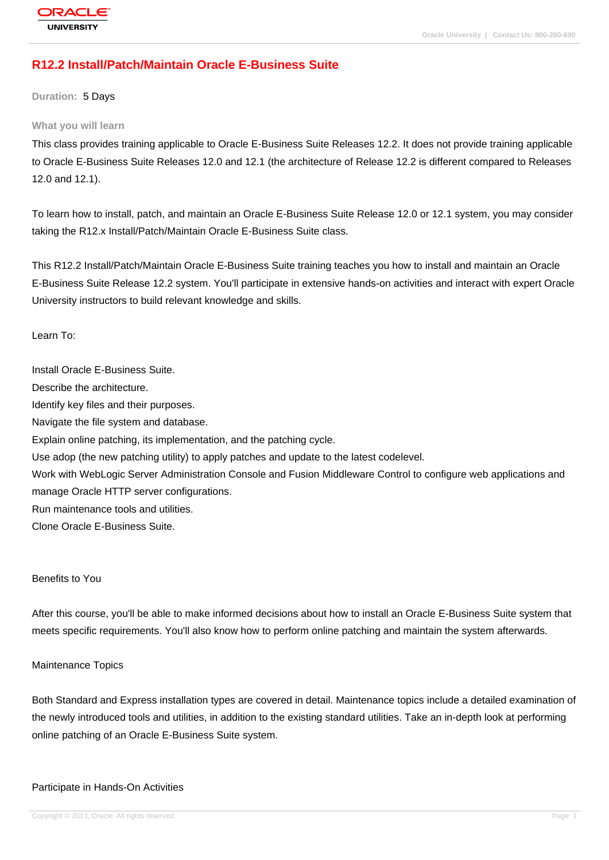# **[R12.2 Install/Pa](http://education.oracle.com/pls/web_prod-plq-dad/db_pages.getpage?page_id=3)tch/Maintain Oracle E-Business Suite**

**Duration:** 5 Days

#### **What you will learn**

This class provides training applicable to Oracle E-Business Suite Releases 12.2. It does not provide training applicable to Oracle E-Business Suite Releases 12.0 and 12.1 (the architecture of Release 12.2 is different compared to Releases 12.0 and 12.1).

To learn how to install, patch, and maintain an Oracle E-Business Suite Release 12.0 or 12.1 system, you may consider taking the R12.x Install/Patch/Maintain Oracle E-Business Suite class.

This R12.2 Install/Patch/Maintain Oracle E-Business Suite training teaches you how to install and maintain an Oracle E-Business Suite Release 12.2 system. You'll participate in extensive hands-on activities and interact with expert Oracle University instructors to build relevant knowledge and skills.

Learn To:

Install Oracle E-Business Suite. Describe the architecture. Identify key files and their purposes. Navigate the file system and database. Explain online patching, its implementation, and the patching cycle. Use adop (the new patching utility) to apply patches and update to the latest codelevel. Work with WebLogic Server Administration Console and Fusion Middleware Control to configure web applications and manage Oracle HTTP server configurations. Run maintenance tools and utilities. Clone Oracle E-Business Suite.

#### Benefits to You

After this course, you'll be able to make informed decisions about how to install an Oracle E-Business Suite system that meets specific requirements. You'll also know how to perform online patching and maintain the system afterwards.

#### Maintenance Topics

Both Standard and Express installation types are covered in detail. Maintenance topics include a detailed examination of the newly introduced tools and utilities, in addition to the existing standard utilities. Take an in-depth look at performing online patching of an Oracle E-Business Suite system.

#### Participate in Hands-On Activities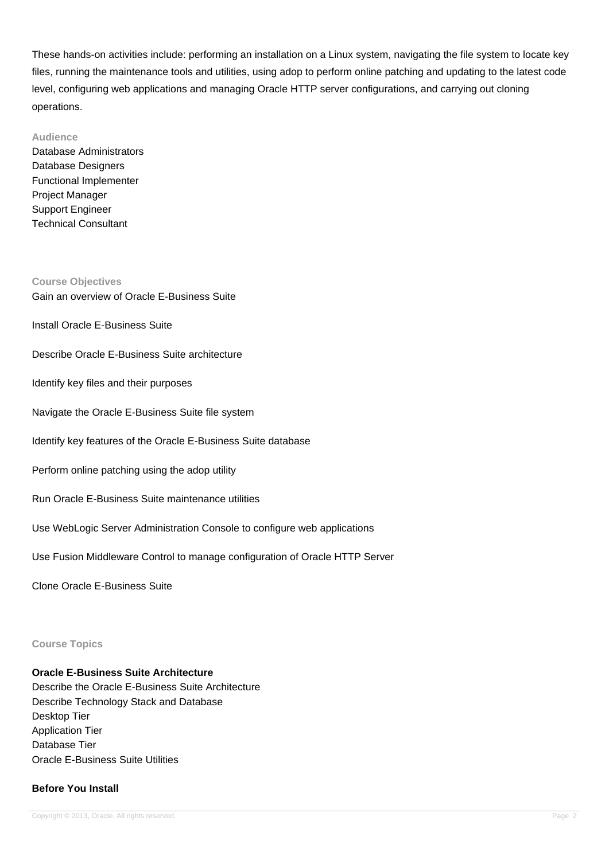These hands-on activities include: performing an installation on a Linux system, navigating the file system to locate key files, running the maintenance tools and utilities, using adop to perform online patching and updating to the latest code level, configuring web applications and managing Oracle HTTP server configurations, and carrying out cloning operations.

#### **Audience**

Database Administrators Database Designers Functional Implementer Project Manager Support Engineer Technical Consultant

**Course Objectives** Gain an overview of Oracle E-Business Suite

Install Oracle E-Business Suite

Describe Oracle E-Business Suite architecture

Identify key files and their purposes

Navigate the Oracle E-Business Suite file system

Identify key features of the Oracle E-Business Suite database

Perform online patching using the adop utility

Run Oracle E-Business Suite maintenance utilities

Use WebLogic Server Administration Console to configure web applications

Use Fusion Middleware Control to manage configuration of Oracle HTTP Server

Clone Oracle E-Business Suite

## **Course Topics**

#### **Oracle E-Business Suite Architecture**

Describe the Oracle E-Business Suite Architecture Describe Technology Stack and Database Desktop Tier Application Tier Database Tier Oracle E-Business Suite Utilities

#### **Before You Install**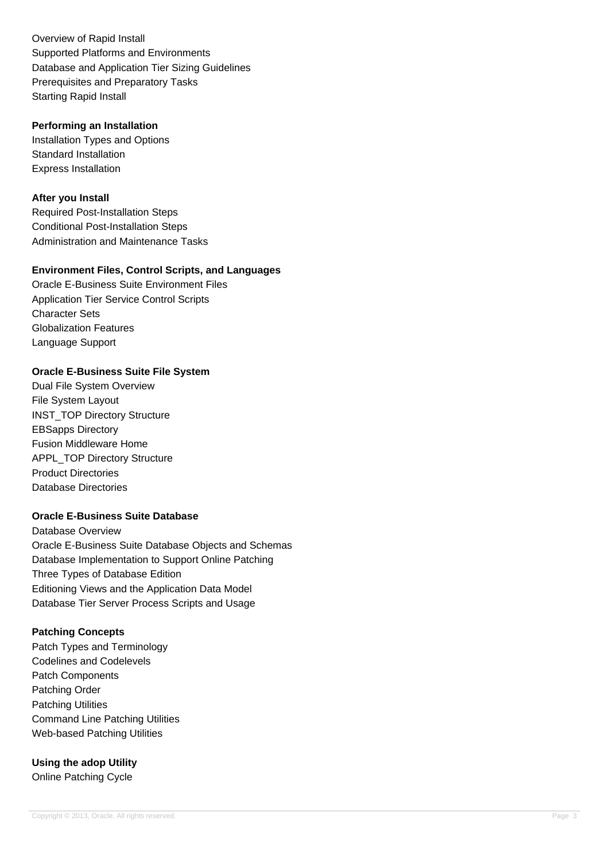Overview of Rapid Install Supported Platforms and Environments Database and Application Tier Sizing Guidelines Prerequisites and Preparatory Tasks Starting Rapid Install

### **Performing an Installation**

Installation Types and Options Standard Installation Express Installation

# **After you Install**

Required Post-Installation Steps Conditional Post-Installation Steps Administration and Maintenance Tasks

# **Environment Files, Control Scripts, and Languages**

Oracle E-Business Suite Environment Files Application Tier Service Control Scripts Character Sets Globalization Features Language Support

# **Oracle E-Business Suite File System**

Dual File System Overview File System Layout INST\_TOP Directory Structure EBSapps Directory Fusion Middleware Home APPL\_TOP Directory Structure Product Directories Database Directories

# **Oracle E-Business Suite Database**

Database Overview Oracle E-Business Suite Database Objects and Schemas Database Implementation to Support Online Patching Three Types of Database Edition Editioning Views and the Application Data Model Database Tier Server Process Scripts and Usage

# **Patching Concepts**

Patch Types and Terminology Codelines and Codelevels Patch Components Patching Order Patching Utilities Command Line Patching Utilities Web-based Patching Utilities

**Using the adop Utility** Online Patching Cycle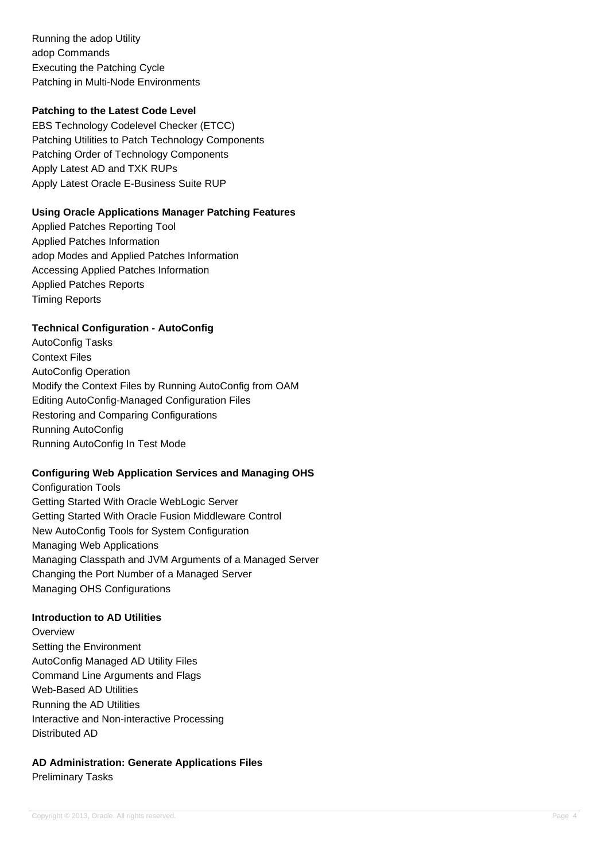Running the adop Utility adop Commands Executing the Patching Cycle Patching in Multi-Node Environments

## **Patching to the Latest Code Level**

EBS Technology Codelevel Checker (ETCC) Patching Utilities to Patch Technology Components Patching Order of Technology Components Apply Latest AD and TXK RUPs Apply Latest Oracle E-Business Suite RUP

## **Using Oracle Applications Manager Patching Features**

Applied Patches Reporting Tool Applied Patches Information adop Modes and Applied Patches Information Accessing Applied Patches Information Applied Patches Reports Timing Reports

## **Technical Configuration - AutoConfig**

AutoConfig Tasks Context Files AutoConfig Operation Modify the Context Files by Running AutoConfig from OAM Editing AutoConfig-Managed Configuration Files Restoring and Comparing Configurations Running AutoConfig Running AutoConfig In Test Mode

### **Configuring Web Application Services and Managing OHS**

Configuration Tools Getting Started With Oracle WebLogic Server Getting Started With Oracle Fusion Middleware Control New AutoConfig Tools for System Configuration Managing Web Applications Managing Classpath and JVM Arguments of a Managed Server Changing the Port Number of a Managed Server Managing OHS Configurations

## **Introduction to AD Utilities**

**Overview** Setting the Environment AutoConfig Managed AD Utility Files Command Line Arguments and Flags Web-Based AD Utilities Running the AD Utilities Interactive and Non-interactive Processing Distributed AD

# **AD Administration: Generate Applications Files** Preliminary Tasks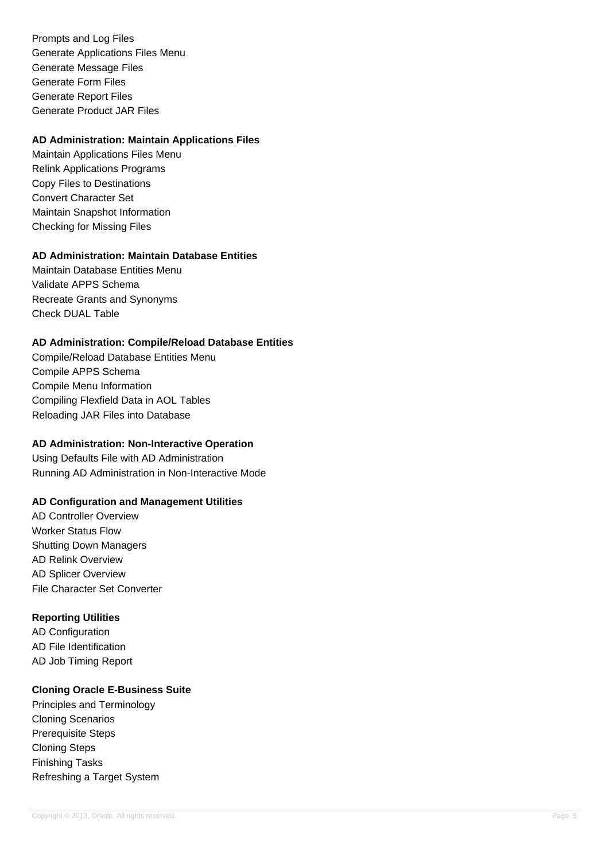Prompts and Log Files Generate Applications Files Menu Generate Message Files Generate Form Files Generate Report Files Generate Product JAR Files

## **AD Administration: Maintain Applications Files**

Maintain Applications Files Menu Relink Applications Programs Copy Files to Destinations Convert Character Set Maintain Snapshot Information Checking for Missing Files

# **AD Administration: Maintain Database Entities**

Maintain Database Entities Menu Validate APPS Schema Recreate Grants and Synonyms Check DUAL Table

## **AD Administration: Compile/Reload Database Entities**

Compile/Reload Database Entities Menu Compile APPS Schema Compile Menu Information Compiling Flexfield Data in AOL Tables Reloading JAR Files into Database

# **AD Administration: Non-Interactive Operation**

Using Defaults File with AD Administration Running AD Administration in Non-Interactive Mode

# **AD Configuration and Management Utilities**

AD Controller Overview Worker Status Flow Shutting Down Managers AD Relink Overview AD Splicer Overview File Character Set Converter

# **Reporting Utilities**

AD Configuration AD File Identification AD Job Timing Report

# **Cloning Oracle E-Business Suite**

Principles and Terminology Cloning Scenarios Prerequisite Steps Cloning Steps Finishing Tasks Refreshing a Target System